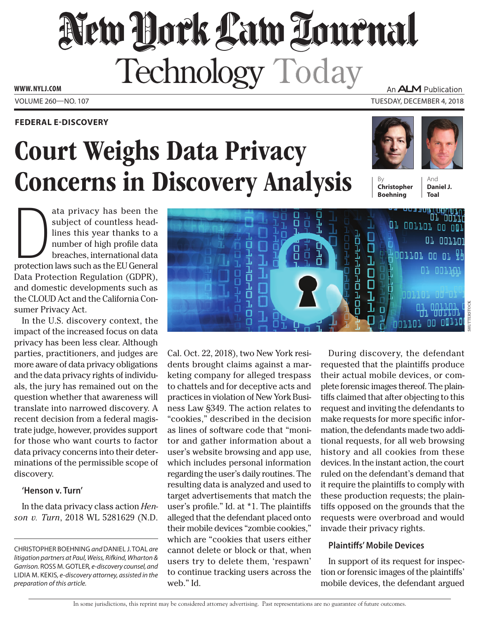# New Hork Law Tournal Technology Today An **ALM** Publication

**www. NYLJ.com**

### **Federal E-Discovery**

# Court Weighs Data Privacy **Concerns in Discovery Analysis**



**Christopher Boehning**

ононнын

п

ı

п

And **Daniel J. Toal**

or corror oo OM

וח חם בסבבם.

<u>ו דוסר בס</u>

ות נמם עם

01 0011AX

<u>י</u>נסע־נסט

01101 00 01

11101 00 00110

ata privacy has been the<br>subject of countless head-<br>lines this year thanks to a<br>number of high profile data<br>breaches, international data<br>protection laws such as the EU General ata privacy has been the subject of countless headlines this year thanks to a number of high profile data breaches, international data Data Protection Regulation (GDPR), and domestic developments such as the CLOUD Act and the California Consumer Privacy Act.

In the U.S. discovery context, the impact of the increased focus on data privacy has been less clear. Although parties, practitioners, and judges are more aware of data privacy obligations and the data privacy rights of individuals, the jury has remained out on the question whether that awareness will translate into narrowed discovery. A recent decision from a federal magistrate judge, however, provides support for those who want courts to factor data privacy concerns into their determinations of the permissible scope of discovery.

#### **'Henson v. Turn'**

In the data privacy class action *Henson v. Turn*, 2018 WL 5281629 (N.D.

Cal. Oct. 22, 2018), two New York residents brought claims against a marketing company for alleged trespass to chattels and for deceptive acts and practices in violation of New York Business Law §349. The action relates to "cookies," described in the decision as lines of software code that "monitor and gather information about a user's website browsing and app use, which includes personal information regarding the user's daily routines. The resulting data is analyzed and used to target advertisements that match the user's profile." Id. at \*1. The plaintiffs alleged that the defendant placed onto their mobile devices "zombie cookies," which are "cookies that users either cannot delete or block or that, when users try to delete them, 'respawn' to continue tracking users across the web." Id.

Ω

During discovery, the defendant requested that the plaintiffs produce their actual mobile devices, or complete forensic images thereof. The plaintiffs claimed that after objecting to this request and inviting the defendants to make requests for more specific information, the defendants made two additional requests, for all web browsing history and all cookies from these devices. In the instant action, the court ruled on the defendant's demand that it require the plaintiffs to comply with these production requests; the plaintiffs opposed on the grounds that the requests were overbroad and would invade their privacy rights.

## **Plaintiffs' Mobile Devices**

In support of its request for inspection or forensic images of the plaintiffs' mobile devices, the defendant argued

Christopher Boehning *and* Daniel J. Toal *are litigation partners at Paul, Weiss, Rifkind, Wharton &*  Garrison. ROSS M. GOTLER, e-discovery counsel, and Lidia M. Kekis*, e-discovery attorney, assisted in the preparation of this article.*